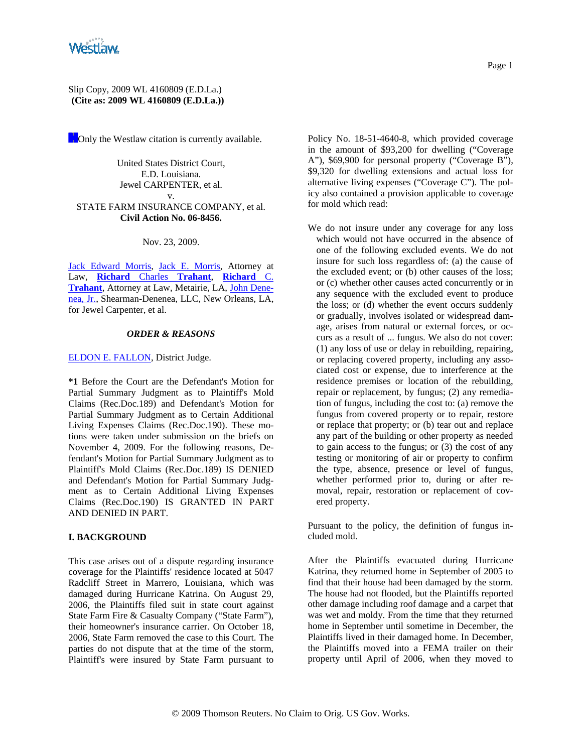

#### Slip Copy, 2009 WL 4160809 (E.D.La.) **(Cite as: 2009 WL 4160809 (E.D.La.))**

**Conly the Westlaw citation is currently available.** 

United States District Court, E.D. Louisiana. Jewel CARPENTER, et al. v. STATE FARM INSURANCE COMPANY, et al. **Civil Action No. 06-8456.**

Nov. 23, 2009.

Jack Edward Morris, Jack E. Morris, Attorney at Law, **Richard** Charles **Trahant**, **Richard** C. **Trahant**, Attorney at Law, Metairie, LA, John Denenea, Jr., Shearman-Denenea, LLC, New Orleans, LA, for Jewel Carpenter, et al.

### *ORDER & REASONS*

#### ELDON E. FALLON, District Judge.

**\*1** Before the Court are the Defendant's Motion for Partial Summary Judgment as to Plaintiff's Mold Claims (Rec.Doc.189) and Defendant's Motion for Partial Summary Judgment as to Certain Additional Living Expenses Claims (Rec.Doc.190). These motions were taken under submission on the briefs on November 4, 2009. For the following reasons, Defendant's Motion for Partial Summary Judgment as to Plaintiff's Mold Claims (Rec.Doc.189) IS DENIED and Defendant's Motion for Partial Summary Judgment as to Certain Additional Living Expenses Claims (Rec.Doc.190) IS GRANTED IN PART AND DENIED IN PART.

### **I. BACKGROUND**

This case arises out of a dispute regarding insurance coverage for the Plaintiffs' residence located at 5047 Radcliff Street in Marrero, Louisiana, which was damaged during Hurricane Katrina. On August 29, 2006, the Plaintiffs filed suit in state court against State Farm Fire & Casualty Company ("State Farm"), their homeowner's insurance carrier. On October 18, 2006, State Farm removed the case to this Court. The parties do not dispute that at the time of the storm, Plaintiff's were insured by State Farm pursuant to Policy No. 18-51-4640-8, which provided coverage in the amount of \$93,200 for dwelling ("Coverage A"), \$69,900 for personal property ("Coverage B"), \$9,320 for dwelling extensions and actual loss for alternative living expenses ("Coverage C"). The policy also contained a provision applicable to coverage for mold which read:

We do not insure under any coverage for any loss which would not have occurred in the absence of one of the following excluded events. We do not insure for such loss regardless of: (a) the cause of the excluded event; or (b) other causes of the loss; or (c) whether other causes acted concurrently or in any sequence with the excluded event to produce the loss; or (d) whether the event occurs suddenly or gradually, involves isolated or widespread damage, arises from natural or external forces, or occurs as a result of ... fungus. We also do not cover: (1) any loss of use or delay in rebuilding, repairing, or replacing covered property, including any associated cost or expense, due to interference at the residence premises or location of the rebuilding, repair or replacement, by fungus; (2) any remediation of fungus, including the cost to: (a) remove the fungus from covered property or to repair, restore or replace that property; or (b) tear out and replace any part of the building or other property as needed to gain access to the fungus; or (3) the cost of any testing or monitoring of air or property to confirm the type, absence, presence or level of fungus, whether performed prior to, during or after removal, repair, restoration or replacement of covered property.

Pursuant to the policy, the definition of fungus included mold.

After the Plaintiffs evacuated during Hurricane Katrina, they returned home in September of 2005 to find that their house had been damaged by the storm. The house had not flooded, but the Plaintiffs reported other damage including roof damage and a carpet that was wet and moldy. From the time that they returned home in September until sometime in December, the Plaintiffs lived in their damaged home. In December, the Plaintiffs moved into a FEMA trailer on their property until April of 2006, when they moved to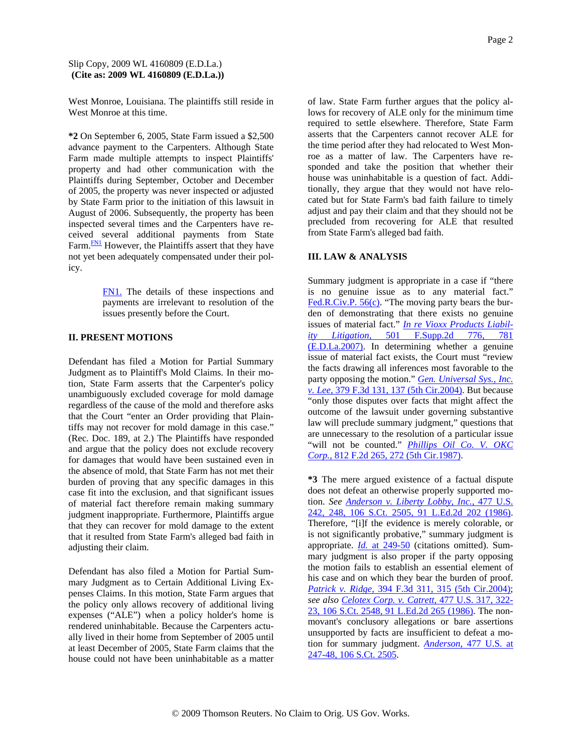West Monroe, Louisiana. The plaintiffs still reside in West Monroe at this time.

**\*2** On September 6, 2005, State Farm issued a \$2,500 advance payment to the Carpenters. Although State Farm made multiple attempts to inspect Plaintiffs' property and had other communication with the Plaintiffs during September, October and December of 2005, the property was never inspected or adjusted by State Farm prior to the initiation of this lawsuit in August of 2006. Subsequently, the property has been inspected several times and the Carpenters have received several additional payments from State Farm. $\frac{FN1}{FN}$  However, the Plaintiffs assert that they have not yet been adequately compensated under their policy.

> FN1. The details of these inspections and payments are irrelevant to resolution of the issues presently before the Court.

# **II. PRESENT MOTIONS**

Defendant has filed a Motion for Partial Summary Judgment as to Plaintiff's Mold Claims. In their motion, State Farm asserts that the Carpenter's policy unambiguously excluded coverage for mold damage regardless of the cause of the mold and therefore asks that the Court "enter an Order providing that Plaintiffs may not recover for mold damage in this case." (Rec. Doc. 189, at 2.) The Plaintiffs have responded and argue that the policy does not exclude recovery for damages that would have been sustained even in the absence of mold, that State Farm has not met their burden of proving that any specific damages in this case fit into the exclusion, and that significant issues of material fact therefore remain making summary judgment inappropriate. Furthermore, Plaintiffs argue that they can recover for mold damage to the extent that it resulted from State Farm's alleged bad faith in adjusting their claim.

Defendant has also filed a Motion for Partial Summary Judgment as to Certain Additional Living Expenses Claims. In this motion, State Farm argues that the policy only allows recovery of additional living expenses ("ALE") when a policy holder's home is rendered uninhabitable. Because the Carpenters actually lived in their home from September of 2005 until at least December of 2005, State Farm claims that the house could not have been uninhabitable as a matter

of law. State Farm further argues that the policy allows for recovery of ALE only for the minimum time required to settle elsewhere. Therefore, State Farm asserts that the Carpenters cannot recover ALE for the time period after they had relocated to West Monroe as a matter of law. The Carpenters have responded and take the position that whether their house was uninhabitable is a question of fact. Additionally, they argue that they would not have relocated but for State Farm's bad faith failure to timely adjust and pay their claim and that they should not be precluded from recovering for ALE that resulted from State Farm's alleged bad faith.

## **III. LAW & ANALYSIS**

Summary judgment is appropriate in a case if "there is no genuine issue as to any material fact." Fed.R.Civ.P. 56(c). "The moving party bears the burden of demonstrating that there exists no genuine issues of material fact." *In re Vioxx Products Liability Litigation,* 501 F.Supp.2d 776, 781 (E.D.La.2007). In determining whether a genuine issue of material fact exists, the Court must "review the facts drawing all inferences most favorable to the party opposing the motion." *Gen. Universal Sys., Inc. v. Lee,* 379 F.3d 131, 137 (5th Cir.2004). But because "only those disputes over facts that might affect the outcome of the lawsuit under governing substantive law will preclude summary judgment," questions that are unnecessary to the resolution of a particular issue "will not be counted." *Phillips Oil Co. V. OKC Corp.,* 812 F.2d 265, 272 (5th Cir.1987).

**\*3** The mere argued existence of a factual dispute does not defeat an otherwise properly supported motion. *See Anderson v. Liberty Lobby, Inc.,* 477 U.S. 242, 248, 106 S.Ct. 2505, 91 L.Ed.2d 202 (1986). Therefore, "[i]f the evidence is merely colorable, or is not significantly probative," summary judgment is appropriate. *Id.* at 249-50 (citations omitted). Summary judgment is also proper if the party opposing the motion fails to establish an essential element of his case and on which they bear the burden of proof. *Patrick v. Ridge,* 394 F.3d 311, 315 (5th Cir.2004); *see also Celotex Corp. v. Catrett,* 477 U.S. 317, 322- 23, 106 S.Ct. 2548, 91 L.Ed.2d 265 (1986). The nonmovant's conclusory allegations or bare assertions unsupported by facts are insufficient to defeat a motion for summary judgment. *Anderson,* 477 U.S. at 247-48, 106 S.Ct. 2505.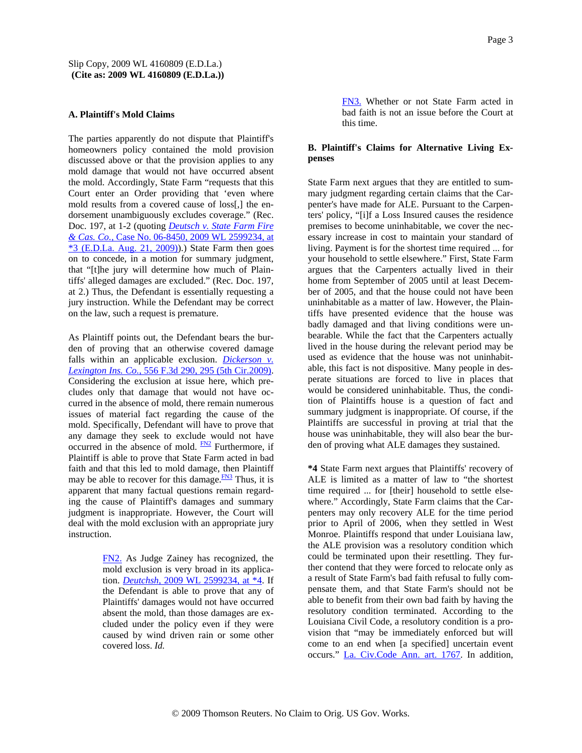#### **A. Plaintiff's Mold Claims**

The parties apparently do not dispute that Plaintiff's homeowners policy contained the mold provision discussed above or that the provision applies to any mold damage that would not have occurred absent the mold. Accordingly, State Farm "requests that this Court enter an Order providing that 'even where mold results from a covered cause of loss[,] the endorsement unambiguously excludes coverage." (Rec. Doc. 197, at 1-2 (quoting *Deutsch v. State Farm Fire & Cas. Co.,* Case No. 06-8450, 2009 WL 2599234, at  $*3$  (E.D.La. Aug. 21, 2009)).) State Farm then goes on to concede, in a motion for summary judgment, that "[t]he jury will determine how much of Plaintiffs' alleged damages are excluded." (Rec. Doc. 197, at 2.) Thus, the Defendant is essentially requesting a jury instruction. While the Defendant may be correct on the law, such a request is premature.

As Plaintiff points out, the Defendant bears the burden of proving that an otherwise covered damage falls within an applicable exclusion. *Dickerson v. Lexington Ins. Co.,* 556 F.3d 290, 295 (5th Cir.2009). Considering the exclusion at issue here, which precludes only that damage that would not have occurred in the absence of mold, there remain numerous issues of material fact regarding the cause of the mold. Specifically, Defendant will have to prove that any damage they seek to exclude would not have occurred in the absence of mold.  $\frac{FN2}{FN2}$  Furthermore, if Plaintiff is able to prove that State Farm acted in bad faith and that this led to mold damage, then Plaintiff may be able to recover for this damage. $\frac{FN3}{FN3}$  Thus, it is apparent that many factual questions remain regarding the cause of Plaintiff's damages and summary judgment is inappropriate. However, the Court will deal with the mold exclusion with an appropriate jury instruction.

> FN2. As Judge Zainey has recognized, the mold exclusion is very broad in its application. *Deutchsh,* 2009 WL 2599234, at \*4. If the Defendant is able to prove that any of Plaintiffs' damages would not have occurred absent the mold, than those damages are excluded under the policy even if they were caused by wind driven rain or some other covered loss. *Id.*

Page 3

FN3. Whether or not State Farm acted in bad faith is not an issue before the Court at this time.

# **B. Plaintiff's Claims for Alternative Living Expenses**

State Farm next argues that they are entitled to summary judgment regarding certain claims that the Carpenter's have made for ALE. Pursuant to the Carpenters' policy, "[i]f a Loss Insured causes the residence premises to become uninhabitable, we cover the necessary increase in cost to maintain your standard of living. Payment is for the shortest time required ... for your household to settle elsewhere." First, State Farm argues that the Carpenters actually lived in their home from September of 2005 until at least December of 2005, and that the house could not have been uninhabitable as a matter of law. However, the Plaintiffs have presented evidence that the house was badly damaged and that living conditions were unbearable. While the fact that the Carpenters actually lived in the house during the relevant period may be used as evidence that the house was not uninhabitable, this fact is not dispositive. Many people in desperate situations are forced to live in places that would be considered uninhabitable. Thus, the condition of Plaintiffs house is a question of fact and summary judgment is inappropriate. Of course, if the Plaintiffs are successful in proving at trial that the house was uninhabitable, they will also bear the burden of proving what ALE damages they sustained.

**\*4** State Farm next argues that Plaintiffs' recovery of ALE is limited as a matter of law to "the shortest time required ... for [their] household to settle elsewhere." Accordingly, State Farm claims that the Carpenters may only recovery ALE for the time period prior to April of 2006, when they settled in West Monroe. Plaintiffs respond that under Louisiana law, the ALE provision was a resolutory condition which could be terminated upon their resettling. They further contend that they were forced to relocate only as a result of State Farm's bad faith refusal to fully compensate them, and that State Farm's should not be able to benefit from their own bad faith by having the resolutory condition terminated. According to the Louisiana Civil Code, a resolutory condition is a provision that "may be immediately enforced but will come to an end when [a specified] uncertain event occurs." La. Civ.Code Ann. art. 1767. In addition,